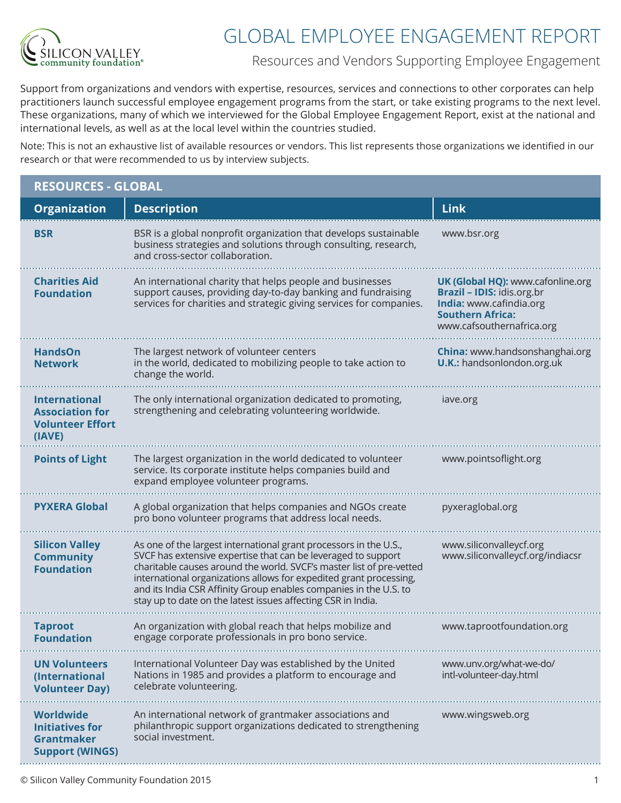

## GLOBAL EMPLOYEE ENGAGEMENT REPORT

Resources and Vendors Supporting Employee Engagement

Support from organizations and vendors with expertise, resources, services and connections to other corporates can help practitioners launch successful employee engagement programs from the start, or take existing programs to the next level. These organizations, many of which we interviewed for the Global Employee Engagement Report, exist at the national and international levels, as well as at the local level within the countries studied.

Note: This is not an exhaustive list of available resources or vendors. This list represents those organizations we identified in our research or that were recommended to us by interview subjects.

| <b>RESOURCES - GLOBAL</b>                                                                 |                                                                                                                                                                                                                                                                                                                                                                                                                       |                                                                                                                                                    |  |
|-------------------------------------------------------------------------------------------|-----------------------------------------------------------------------------------------------------------------------------------------------------------------------------------------------------------------------------------------------------------------------------------------------------------------------------------------------------------------------------------------------------------------------|----------------------------------------------------------------------------------------------------------------------------------------------------|--|
| <b>Organization</b>                                                                       | <b>Description</b>                                                                                                                                                                                                                                                                                                                                                                                                    | <b>Link</b>                                                                                                                                        |  |
| <b>BSR</b>                                                                                | BSR is a global nonprofit organization that develops sustainable<br>business strategies and solutions through consulting, research,<br>and cross-sector collaboration.                                                                                                                                                                                                                                                | www.bsr.org                                                                                                                                        |  |
| <b>Charities Aid</b><br><b>Foundation</b>                                                 | An international charity that helps people and businesses<br>support causes, providing day-to-day banking and fundraising<br>services for charities and strategic giving services for companies.                                                                                                                                                                                                                      | UK (Global HQ): www.cafonline.org<br>Brazil - IDIS: idis.org.br<br>India: www.cafindia.org<br><b>Southern Africa:</b><br>www.cafsouthernafrica.org |  |
| <b>HandsOn</b><br><b>Network</b>                                                          | The largest network of volunteer centers<br>in the world, dedicated to mobilizing people to take action to<br>change the world.                                                                                                                                                                                                                                                                                       | China: www.handsonshanghai.org<br><b>U.K.:</b> handsonlondon.org.uk                                                                                |  |
| <b>International</b><br><b>Association for</b><br><b>Volunteer Effort</b><br>(IAVE)       | The only international organization dedicated to promoting,<br>strengthening and celebrating volunteering worldwide.                                                                                                                                                                                                                                                                                                  | iave.org                                                                                                                                           |  |
| <b>Points of Light</b>                                                                    | The largest organization in the world dedicated to volunteer<br>service. Its corporate institute helps companies build and<br>expand employee volunteer programs.                                                                                                                                                                                                                                                     | www.pointsoflight.org                                                                                                                              |  |
| <b>PYXERA Global</b>                                                                      | A global organization that helps companies and NGOs create<br>pro bono volunteer programs that address local needs.                                                                                                                                                                                                                                                                                                   | pyxeraglobal.org                                                                                                                                   |  |
| <b>Silicon Valley</b><br><b>Community</b><br><b>Foundation</b>                            | As one of the largest international grant processors in the U.S.,<br>SVCF has extensive expertise that can be leveraged to support<br>charitable causes around the world. SVCF's master list of pre-vetted<br>international organizations allows for expedited grant processing,<br>and its India CSR Affinity Group enables companies in the U.S. to<br>stay up to date on the latest issues affecting CSR in India. | www.siliconvalleycf.org<br>www.siliconvalleycf.org/indiacsr                                                                                        |  |
| <b>Taproot</b><br><b>Foundation</b>                                                       | An organization with global reach that helps mobilize and<br>engage corporate professionals in pro bono service.                                                                                                                                                                                                                                                                                                      | www.taprootfoundation.org                                                                                                                          |  |
| <b>UN Volunteers</b><br>(International<br><b>Volunteer Day)</b>                           | International Volunteer Day was established by the United<br>Nations in 1985 and provides a platform to encourage and<br>celebrate volunteering.                                                                                                                                                                                                                                                                      | www.unv.org/what-we-do/<br>intl-volunteer-day.html                                                                                                 |  |
| <b>Worldwide</b><br><b>Initiatives for</b><br><b>Grantmaker</b><br><b>Support (WINGS)</b> | An international network of grantmaker associations and<br>philanthropic support organizations dedicated to strengthening<br>social investment.                                                                                                                                                                                                                                                                       | www.wingsweb.org                                                                                                                                   |  |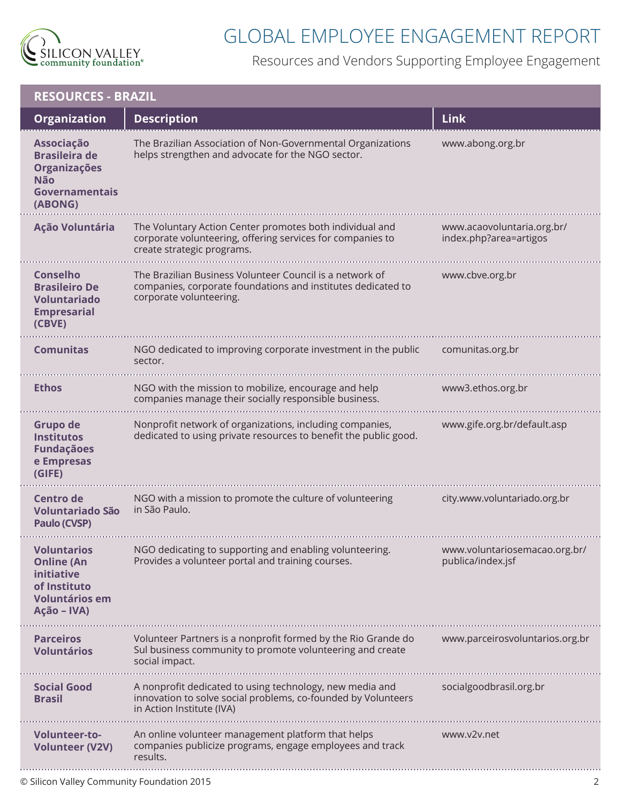

## GLOBAL EMPLOYEE ENGAGEMENT REPORT

Resources and Vendors Supporting Employee Engagement

| <b>RESOURCES - BRAZIL</b>                                                                                     |                                                                                                                                                        |                                                      |  |
|---------------------------------------------------------------------------------------------------------------|--------------------------------------------------------------------------------------------------------------------------------------------------------|------------------------------------------------------|--|
| <b>Organization</b>                                                                                           | <b>Description</b>                                                                                                                                     | <b>Link</b>                                          |  |
| Associação<br><b>Brasileira de</b><br>Organizações<br><b>Não</b><br>Governamentais<br>(ABONG)                 | The Brazilian Association of Non-Governmental Organizations<br>helps strengthen and advocate for the NGO sector.                                       | www.abong.org.br                                     |  |
| <b>Ação Voluntária</b>                                                                                        | The Voluntary Action Center promotes both individual and<br>corporate volunteering, offering services for companies to<br>create strategic programs.   | www.acaovoluntaria.org.br/<br>index.php?area=artigos |  |
| <b>Conselho</b><br><b>Brasileiro De</b><br><b>Voluntariado</b><br><b>Empresarial</b><br>(CBVE)                | The Brazilian Business Volunteer Council is a network of<br>companies, corporate foundations and institutes dedicated to<br>corporate volunteering.    | www.cbve.org.br                                      |  |
| <b>Comunitas</b>                                                                                              | NGO dedicated to improving corporate investment in the public<br>sector.                                                                               | comunitas.org.br                                     |  |
| <b>Ethos</b>                                                                                                  | NGO with the mission to mobilize, encourage and help<br>companies manage their socially responsible business.                                          | www3.ethos.org.br                                    |  |
| Grupo de<br><b>Institutos</b><br><b>Fundaçãoes</b><br>e Empresas<br>(GIFE)                                    | Nonprofit network of organizations, including companies,<br>dedicated to using private resources to benefit the public good.                           | www.gife.org.br/default.asp                          |  |
| Centro de<br><b>Voluntariado São</b><br>Paulo (CVSP)                                                          | NGO with a mission to promote the culture of volunteering<br>in São Paulo.                                                                             | city.www.voluntariado.org.br                         |  |
| <b>Voluntarios</b><br><b>Online (An</b><br>initiative<br>of Instituto<br><b>Voluntários em</b><br>Ação - IVA) | NGO dedicating to supporting and enabling volunteering.<br>Provides a volunteer portal and training courses.                                           | www.voluntariosemacao.org.br/<br>publica/index.jsf   |  |
| <b>Parceiros</b><br><b>Voluntários</b>                                                                        | Volunteer Partners is a nonprofit formed by the Rio Grande do<br>Sul business community to promote volunteering and create<br>social impact.           | www.parceirosvoluntarios.org.br                      |  |
| <b>Social Good</b><br><b>Brasil</b>                                                                           | A nonprofit dedicated to using technology, new media and<br>innovation to solve social problems, co-founded by Volunteers<br>in Action Institute (IVA) | socialgoodbrasil.org.br                              |  |
| <b>Volunteer-to-</b><br><b>Volunteer (V2V)</b>                                                                | An online volunteer management platform that helps<br>companies publicize programs, engage employees and track<br>results.                             | www.v2v.net                                          |  |
|                                                                                                               |                                                                                                                                                        |                                                      |  |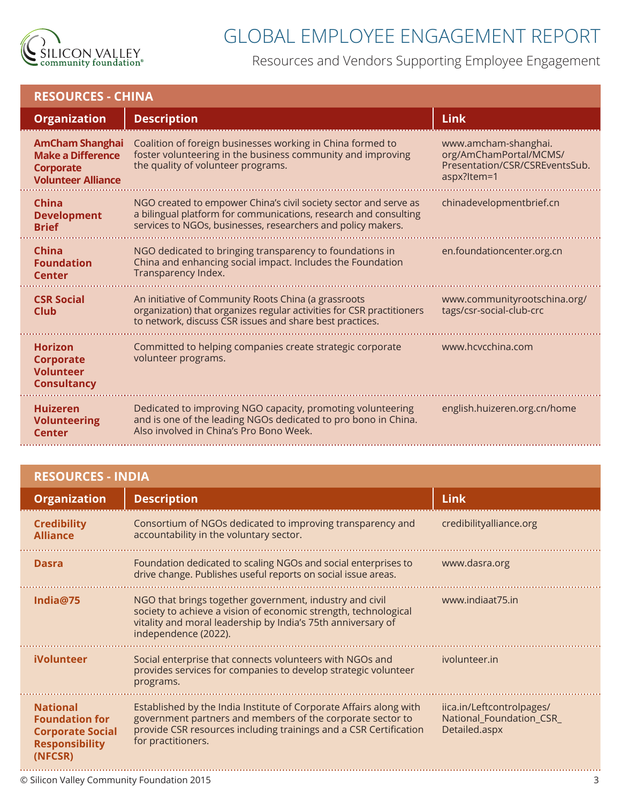

## GLOBAL EMPLOYEE ENGAGEMENT REPORT

Resources and Vendors Supporting Employee Engagement

| <b>RESOURCES - CHINA</b> |  |
|--------------------------|--|
|                          |  |

| <b>Organization</b>                                                                          | <b>Description</b>                                                                                                                                                                                   | <b>Link</b>                                                                                     |
|----------------------------------------------------------------------------------------------|------------------------------------------------------------------------------------------------------------------------------------------------------------------------------------------------------|-------------------------------------------------------------------------------------------------|
| <b>AmCham Shanghai</b><br><b>Make a Difference</b><br>Corporate<br><b>Volunteer Alliance</b> | Coalition of foreign businesses working in China formed to<br>foster volunteering in the business community and improving<br>the quality of volunteer programs.                                      | www.amcham-shanghai.<br>org/AmChamPortal/MCMS/<br>Presentation/CSR/CSREventsSub.<br>aspx?Item=1 |
| China<br><b>Development</b><br><b>Brief</b>                                                  | NGO created to empower China's civil society sector and serve as<br>a bilingual platform for communications, research and consulting<br>services to NGOs, businesses, researchers and policy makers. | chinadevelopmentbrief.cn                                                                        |
| <b>China</b><br><b>Foundation</b><br><b>Center</b>                                           | NGO dedicated to bringing transparency to foundations in<br>China and enhancing social impact. Includes the Foundation<br>Transparency Index.                                                        | en.foundationcenter.org.cn                                                                      |
| <b>CSR Social</b><br>Club                                                                    | An initiative of Community Roots China (a grassroots<br>organization) that organizes regular activities for CSR practitioners<br>to network, discuss CSR issues and share best practices.            | www.communityrootschina.org/<br>tags/csr-social-club-crc                                        |
| <b>Horizon</b><br><b>Corporate</b><br><b>Volunteer</b><br><b>Consultancy</b>                 | Committed to helping companies create strategic corporate<br>volunteer programs.                                                                                                                     | www.hcvcchina.com                                                                               |
| <b>Huizeren</b><br><b>Volunteering</b><br><b>Center</b>                                      | Dedicated to improving NGO capacity, promoting volunteering<br>and is one of the leading NGOs dedicated to pro bono in China.<br>Also involved in China's Pro Bono Week.                             | english.huizeren.org.cn/home                                                                    |

|  |  | <b>RESOURCES - INDIA</b> |
|--|--|--------------------------|
|  |  |                          |

| <b>Organization</b>                                                                                     | <b>Description</b>                                                                                                                                                                                                          | <b>Link</b>                                                            |
|---------------------------------------------------------------------------------------------------------|-----------------------------------------------------------------------------------------------------------------------------------------------------------------------------------------------------------------------------|------------------------------------------------------------------------|
| <b>Credibility</b><br><b>Alliance</b>                                                                   | Consortium of NGOs dedicated to improving transparency and<br>accountability in the voluntary sector.                                                                                                                       | credibilityalliance.org                                                |
| <b>Dasra</b>                                                                                            | Foundation dedicated to scaling NGOs and social enterprises to<br>drive change. Publishes useful reports on social issue areas.                                                                                             | www.dasra.org                                                          |
| India@75                                                                                                | NGO that brings together government, industry and civil<br>society to achieve a vision of economic strength, technological<br>vitality and moral leadership by India's 75th anniversary of<br>independence (2022).          | www.indiaat75.in                                                       |
| <b>iVolunteer</b>                                                                                       | Social enterprise that connects volunteers with NGOs and<br>provides services for companies to develop strategic volunteer<br>programs.                                                                                     | ivolunteer.in                                                          |
| <b>National</b><br><b>Foundation for</b><br><b>Corporate Social</b><br><b>Responsibility</b><br>(NFCSR) | Established by the India Institute of Corporate Affairs along with<br>government partners and members of the corporate sector to<br>provide CSR resources including trainings and a CSR Certification<br>for practitioners. | iica.in/Leftcontrolpages/<br>National_Foundation_CSR_<br>Detailed.aspx |